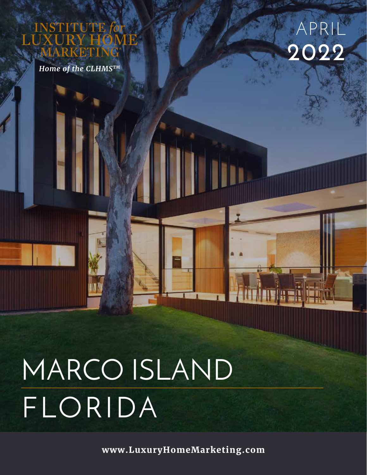UTE

*Home of the CLHMSTM*



# MARCO ISLAND FLORIDA

**www.LuxuryHomeMarketing.com**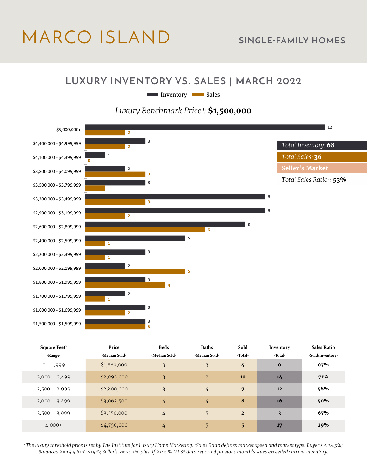# MARCO ISLAND **SINGLE-FAMILY HOMES**

#### **LUXURY INVENTORY VS. SALES | MARCH 2022**

Inventory Sales

#### *Luxury Benchmark Price<sup>1</sup>:* **\$1***,***500***,***000**



| Square Feet <sup>3</sup> | Price         | <b>Beds</b>    | <b>Baths</b>   | Sold           | Inventory | <b>Sales Ratio</b> |
|--------------------------|---------------|----------------|----------------|----------------|-----------|--------------------|
| -Range-                  | -Median Sold- | -Median Sold-  | -Median Sold-  | -Total-        | -Total-   | -Sold/Inventory-   |
| $0 - 1,999$              | \$1,880,000   | $\overline{3}$ | 3              | 4              | 6         | 67%                |
| $2,000 - 2,499$          | \$2,095,000   | $\overline{3}$ | $\overline{2}$ | 10             | 14        | 71%                |
| $2,500 - 2,999$          | \$2,800,000   | 3              | $\frac{1}{4}$  | 7              | 12        | 58%                |
| $3,000 - 3,499$          | \$3,062,500   | 4              | $\frac{1}{4}$  | 8              | 16        | 50%                |
| $3,500 - 3,999$          | \$3,550,000   | $\frac{1}{4}$  | 5              | $\overline{2}$ | 3         | 67%                |
| $4,000+$                 | \$4,750,000   | 4              | 5              | 5              | 17        | 29%                |

*1 The luxury threshold price is set by The Institute for Luxury Home Marketing. 2Sales Ratio defines market speed and market type: Buyer's < 14.5%; Balanced >= 14.5 to < 20.5%; Seller's >= 20.5% plus. If >100% MLS® data reported previous month's sales exceeded current inventory.*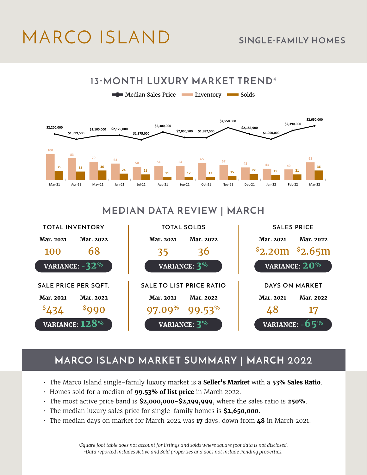# MARCO ISLAND **SINGLE-FAMILY HOMES**



### **MEDIAN DATA REVIEW | MARCH**



### **MARCO ISLAND MARKET SUMMARY | MARCH 2022**

- The Marco Island single-family luxury market is a **Seller's Market** with a **53% Sales Ratio**.
- Homes sold for a median of **99.53% of list price** in March 2022.
- The most active price band is **\$2,000,000-\$2,199,999**, where the sales ratio is **250%**.
- The median luxury sales price for single-family homes is **\$2,650,000**.
- The median days on market for March 2022 was **17** days, down from **48** in March 2021.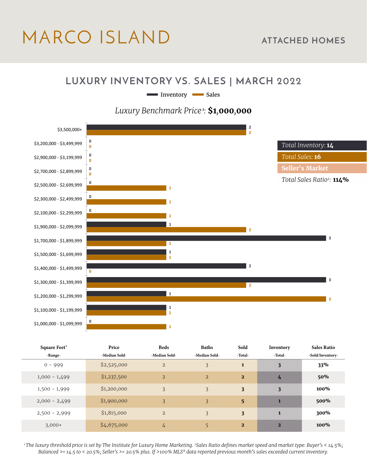# MARCO ISLAND **ATTACHED HOMES**

#### **LUXURY INVENTORY VS. SALES | MARCH 2022**

Inventory Sales

#### *Luxury Benchmark Price<sup>1</sup>:* **\$1***,***000***,***000**



| Square Feet <sup>3</sup> | Price         | <b>Beds</b>    | <b>Baths</b>   | Sold                    | Inventory               | <b>Sales Ratio</b> |
|--------------------------|---------------|----------------|----------------|-------------------------|-------------------------|--------------------|
| -Range-                  | -Median Sold- | -Median Sold-  | -Median Sold-  | -Total-                 | -Total-                 | -Sold/Inventory-   |
| $0 - 999$                | \$2,525,000   | $\overline{2}$ | 3              | 1                       | $\overline{\mathbf{3}}$ | 33%                |
| $1,000 - 1,499$          | \$1,237,500   | $\overline{2}$ | $\overline{2}$ | $\overline{2}$          | 4                       | 50%                |
| $1,500 - 1,999$          | \$1,200,000   | 3              | 3              | $\overline{\mathbf{3}}$ | 3                       | 100%               |
| $2,000 - 2,499$          | \$1,900,000   | 3              | 3              | 5                       | $\mathbf{1}$            | 500%               |
| $2,500 - 2,999$          | \$1,815,000   | $\overline{2}$ | 3              | $\overline{\mathbf{3}}$ | $\mathbf{1}$            | 300%               |
| $3,000+$                 | \$4,675,000   | 4              | 5              | $\overline{2}$          | $\overline{2}$          | 100%               |

*1 The luxury threshold price is set by The Institute for Luxury Home Marketing. 2Sales Ratio defines market speed and market type: Buyer's < 14.5%; Balanced >= 14.5 to < 20.5%; Seller's >= 20.5% plus. If >100% MLS® data reported previous month's sales exceeded current inventory.*